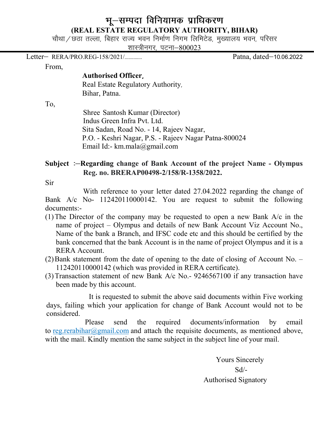## भू-सम्पदा विनियामक प्राधिकरण (REAL ESTATE REGULATORY AUTHORITY, BIHAR)

चौथा / छठा तल्ला, बिहार राज्य भवन निर्माण निगम लिमिटेड, मुख्यालय भवन, परिसर

शास्त्रीनगर, पटना-800023

Letter& RERA/PRO.REG-158/2021/-------------- Patna, dated&10-06-2022

From,

### Authorised Officer

Real Estate Regulatory Authority, Bihar, Patna.

To,

 Shree Santosh Kumar (Director) Indus Green Infra Pvt. Ltd. Sita Sadan, Road No. - 14, Rajeev Nagar, P.O. - Keshri Nagar, P.S. - Rajeev Nagar Patna-800024 Email Id:- km.mala@gmail.com

## Subject :-Regarding change of Bank Account of the project Name - Olympus Reg. no. BRERAP00498-2/158/R-1358/2022.

Sir

With reference to your letter dated 27.04.2022 regarding the change of Bank A/c No- 112420110000142. You are request to submit the following documents:-

- (1)The Director of the company may be requested to open a new Bank A/c in the name of project – Olympus and details of new Bank Account Viz Account No., Name of the bank a Branch, and IFSC code etc and this should be certified by the bank concerned that the bank Account is in the name of project Olympus and it is a RERA Account.
- (2)Bank statement from the date of opening to the date of closing of Account No. 112420110000142 (which was provided in RERA certificate).
- (3)Transaction statement of new Bank A/c No.- 9246567100 if any transaction have been made by this account.

 It is requested to submit the above said documents within Five working days, failing which your application for change of Bank Account would not to be considered.

 Please send the required documents/information by email to reg.rerabihar@gmail.com and attach the requisite documents, as mentioned above, with the mail. Kindly mention the same subject in the subject line of your mail.

Yours Sincerely Sd/- Authorised Signatory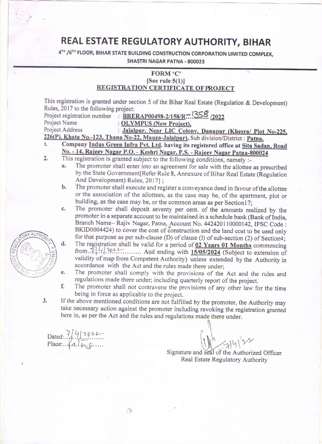# REAL ESTATE REGULATORY AUTHORITY, BIHAR

4TH / 6TH FLOOR, BIHAR STATE BUILDING CONSTRUCTION CORPORATION LIMITED COMPLEX,

SHASTRI NAGAR PATNA - 800023

### FORM 'C' [See rule  $5(1)$ ]

### REGISTRATION CERTIFICATE OF PROJECT

This registration is granted under section 5 of the Bihar Real Estate (Regulation & Development) Rules, 2017 to the following project:

|                                                                                     | Project registration number : BRERAP00498-2/158/R. 558 /2022 |
|-------------------------------------------------------------------------------------|--------------------------------------------------------------|
| Project Name                                                                        | : OLYMPUS (New Project),                                     |
| <b>Project Address</b>                                                              | : Jalalpur, Near LIC Colony, Danapur (Khesra/ Plot No-225,   |
| 226(P), Khata No.-123, Thana No-22, Mauza-Jalalpur), Sub division/District : Patna. |                                                              |
| Company Indus Green Infra Pyt Ltd, having its registered office at Site Sadon, Bood |                                                              |

- vt. Ltd. having its registered office at Sita Sadan, Road No. - 14, Rajeev Nagar P.O. - Keshri Nagar, P.S. - Rajeev Nagar Patna-800024
- $2.$ This registration is granted subject to the following conditions, namely :-
	- The promoter shall enter into an agreement for sale with the allottee as prescribed a. by the State Government[Refer Rule 8, Annexure of Bihar Real Estate (Regulation And Development) Rules, 2017];
	- b. The promoter shall execute and register a conveyance deed in favour of the allottee or the association of the allottees, as the case may be, of the apartment, plot or building, as the case may be, or the common areas as per Section17;
	- c. The promoter shall deposit seventy per cent. of the amounts realized by the promoter in a separate account to be maintained in a schedule bank (Bank of India, Branch Name- Rajiv Nagar, Patna, Account No. 442420110000142, IFSC Code : BKID0004424) to cover the cost of construction and the land cost to be used only for that purpose as per sub-clause (D) of clause (l) of sub-section (2) of Section4;
	- d. The registration shall be valid for a period of 02 Years 01 Months commencing from  $\frac{1}{2}$ .  $\frac{1}{4}$ . 2022. And ending with 15/05/2024 (Subject to extension of validity of map from Competent Authority) unless extended by the Authority in accordance with the Act and the rules made there under;
	- The promoter shall comply with the provisions of the Act and the rules and e. regulations made there under; including quarterly report of the project.
	- f. The promoter shall not contravene the provisions of any other law for the time being in force as applicable to the project.
	- If the above mentioned conditions are not fulfilled by the promoter, the Authority may take necessary action against the promoter including revoking the registration granted here in, as per the Act and the rules and regulations made there under.

D)

Dated:  $7/4$ /2022<br>Place:  $4d \rightarrow p...$ 

 $3.$ 

Signature and seal of the Authorized Officer Real Estate Regulatory Authority